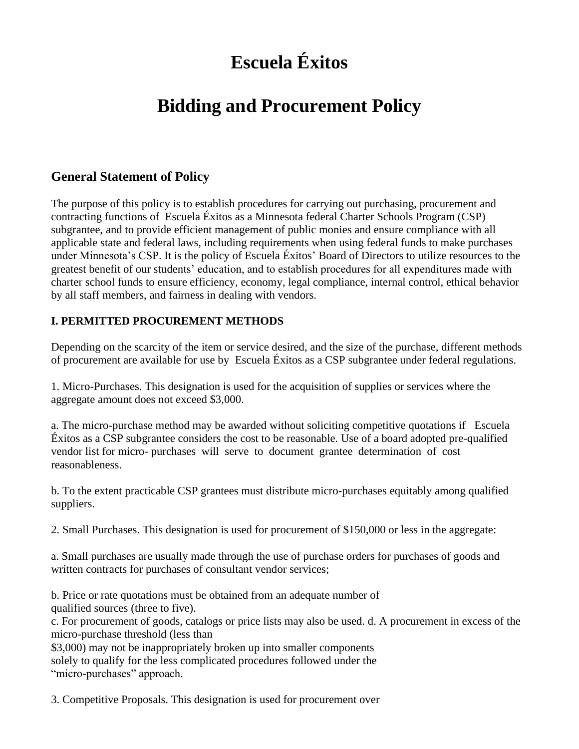# **Escuela Éxitos**

# **Bidding and Procurement Policy**

# **General Statement of Policy**

The purpose of this policy is to establish procedures for carrying out purchasing, procurement and contracting functions of Escuela Éxitos as a Minnesota federal Charter Schools Program (CSP) subgrantee, and to provide efficient management of public monies and ensure compliance with all applicable state and federal laws, including requirements when using federal funds to make purchases under Minnesota's CSP. It is the policy of Escuela Éxitos' Board of Directors to utilize resources to the greatest benefit of our students' education, and to establish procedures for all expenditures made with charter school funds to ensure efficiency, economy, legal compliance, internal control, ethical behavior by all staff members, and fairness in dealing with vendors.

# **I. PERMITTED PROCUREMENT METHODS**

Depending on the scarcity of the item or service desired, and the size of the purchase, different methods of procurement are available for use by Escuela Éxitos as a CSP subgrantee under federal regulations.

1. Micro-Purchases. This designation is used for the acquisition of supplies or services where the aggregate amount does not exceed \$3,000.

a. The micro-purchase method may be awarded without soliciting competitive quotations if Escuela Éxitos as a CSP subgrantee considers the cost to be reasonable. Use of a board adopted pre-qualified vendor list for micro- purchases will serve to document grantee determination of cost reasonableness.

b. To the extent practicable CSP grantees must distribute micro-purchases equitably among qualified suppliers.

2. Small Purchases. This designation is used for procurement of \$150,000 or less in the aggregate:

a. Small purchases are usually made through the use of purchase orders for purchases of goods and written contracts for purchases of consultant vendor services;

b. Price or rate quotations must be obtained from an adequate number of qualified sources (three to five).

c. For procurement of goods, catalogs or price lists may also be used. d. A procurement in excess of the micro-purchase threshold (less than

\$3,000) may not be inappropriately broken up into smaller components solely to qualify for the less complicated procedures followed under the "micro-purchases" approach.

3. Competitive Proposals. This designation is used for procurement over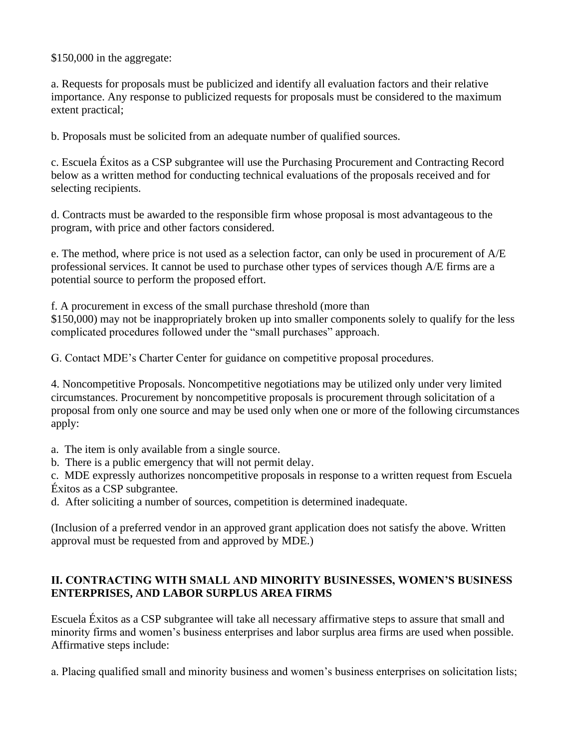\$150,000 in the aggregate:

a. Requests for proposals must be publicized and identify all evaluation factors and their relative importance. Any response to publicized requests for proposals must be considered to the maximum extent practical;

b. Proposals must be solicited from an adequate number of qualified sources.

c. Escuela Éxitos as a CSP subgrantee will use the Purchasing Procurement and Contracting Record below as a written method for conducting technical evaluations of the proposals received and for selecting recipients.

d. Contracts must be awarded to the responsible firm whose proposal is most advantageous to the program, with price and other factors considered.

e. The method, where price is not used as a selection factor, can only be used in procurement of A/E professional services. It cannot be used to purchase other types of services though A/E firms are a potential source to perform the proposed effort.

f. A procurement in excess of the small purchase threshold (more than \$150,000) may not be inappropriately broken up into smaller components solely to qualify for the less complicated procedures followed under the "small purchases" approach.

G. Contact MDE's Charter Center for guidance on competitive proposal procedures.

4. Noncompetitive Proposals. Noncompetitive negotiations may be utilized only under very limited circumstances. Procurement by noncompetitive proposals is procurement through solicitation of a proposal from only one source and may be used only when one or more of the following circumstances apply:

- a. The item is only available from a single source.
- b. There is a public emergency that will not permit delay.

c. MDE expressly authorizes noncompetitive proposals in response to a written request from Escuela Éxitos as a CSP subgrantee.

d. After soliciting a number of sources, competition is determined inadequate.

(Inclusion of a preferred vendor in an approved grant application does not satisfy the above. Written approval must be requested from and approved by MDE.)

#### **II. CONTRACTING WITH SMALL AND MINORITY BUSINESSES, WOMEN'S BUSINESS ENTERPRISES, AND LABOR SURPLUS AREA FIRMS**

Escuela Éxitos as a CSP subgrantee will take all necessary affirmative steps to assure that small and minority firms and women's business enterprises and labor surplus area firms are used when possible. Affirmative steps include:

a. Placing qualified small and minority business and women's business enterprises on solicitation lists;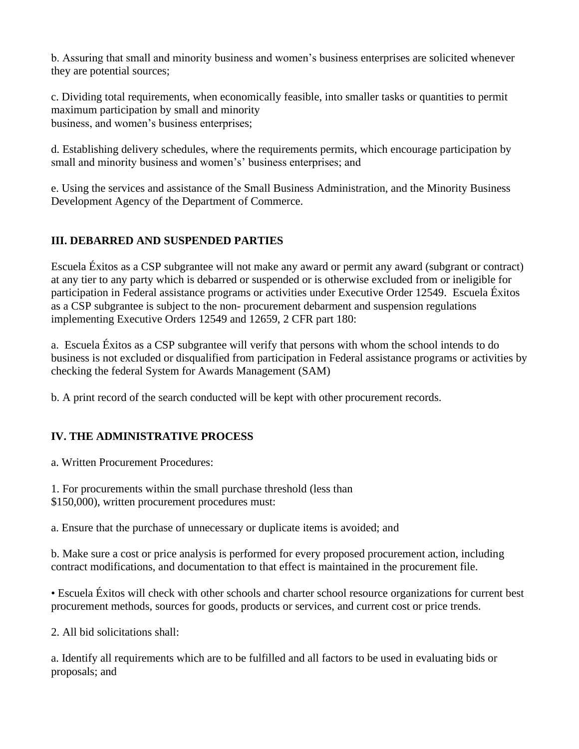b. Assuring that small and minority business and women's business enterprises are solicited whenever they are potential sources;

c. Dividing total requirements, when economically feasible, into smaller tasks or quantities to permit maximum participation by small and minority business, and women's business enterprises;

d. Establishing delivery schedules, where the requirements permits, which encourage participation by small and minority business and women's' business enterprises; and

e. Using the services and assistance of the Small Business Administration, and the Minority Business Development Agency of the Department of Commerce.

#### **III. DEBARRED AND SUSPENDED PARTIES**

Escuela Éxitos as a CSP subgrantee will not make any award or permit any award (subgrant or contract) at any tier to any party which is debarred or suspended or is otherwise excluded from or ineligible for participation in Federal assistance programs or activities under Executive Order 12549. Escuela Éxitos as a CSP subgrantee is subject to the non- procurement debarment and suspension regulations implementing Executive Orders 12549 and 12659, 2 CFR part 180:

a. Escuela Éxitos as a CSP subgrantee will verify that persons with whom the school intends to do business is not excluded or disqualified from participation in Federal assistance programs or activities by checking the federal System for Awards Management (SAM)

b. A print record of the search conducted will be kept with other procurement records.

# **IV. THE ADMINISTRATIVE PROCESS**

a. Written Procurement Procedures:

- 1. For procurements within the small purchase threshold (less than
- \$150,000), written procurement procedures must:

a. Ensure that the purchase of unnecessary or duplicate items is avoided; and

b. Make sure a cost or price analysis is performed for every proposed procurement action, including contract modifications, and documentation to that effect is maintained in the procurement file.

• Escuela Éxitos will check with other schools and charter school resource organizations for current best procurement methods, sources for goods, products or services, and current cost or price trends.

2. All bid solicitations shall:

a. Identify all requirements which are to be fulfilled and all factors to be used in evaluating bids or proposals; and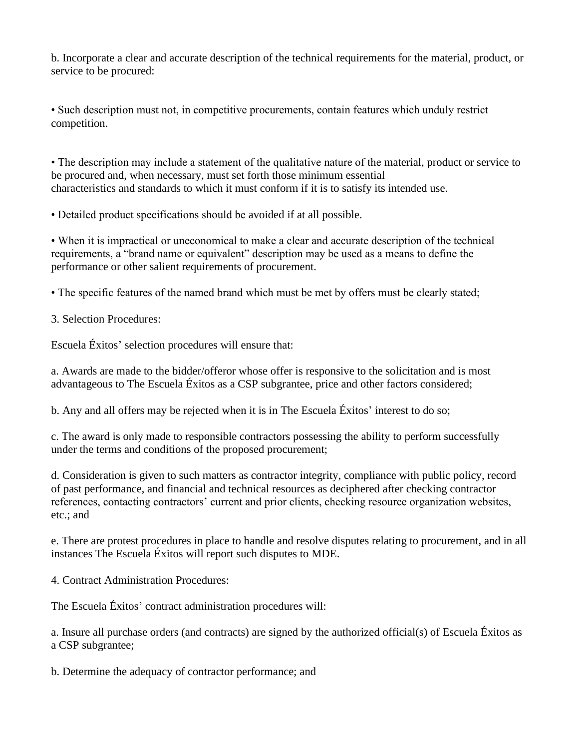b. Incorporate a clear and accurate description of the technical requirements for the material, product, or service to be procured:

• Such description must not, in competitive procurements, contain features which unduly restrict competition.

• The description may include a statement of the qualitative nature of the material, product or service to be procured and, when necessary, must set forth those minimum essential characteristics and standards to which it must conform if it is to satisfy its intended use.

• Detailed product specifications should be avoided if at all possible.

• When it is impractical or uneconomical to make a clear and accurate description of the technical requirements, a "brand name or equivalent" description may be used as a means to define the performance or other salient requirements of procurement.

• The specific features of the named brand which must be met by offers must be clearly stated;

3. Selection Procedures:

Escuela Éxitos' selection procedures will ensure that:

a. Awards are made to the bidder/offeror whose offer is responsive to the solicitation and is most advantageous to The Escuela Éxitos as a CSP subgrantee, price and other factors considered;

b. Any and all offers may be rejected when it is in The Escuela Éxitos' interest to do so;

c. The award is only made to responsible contractors possessing the ability to perform successfully under the terms and conditions of the proposed procurement;

d. Consideration is given to such matters as contractor integrity, compliance with public policy, record of past performance, and financial and technical resources as deciphered after checking contractor references, contacting contractors' current and prior clients, checking resource organization websites, etc.; and

e. There are protest procedures in place to handle and resolve disputes relating to procurement, and in all instances The Escuela Éxitos will report such disputes to MDE.

4. Contract Administration Procedures:

The Escuela Éxitos' contract administration procedures will:

a. Insure all purchase orders (and contracts) are signed by the authorized official(s) of Escuela Éxitos as a CSP subgrantee;

b. Determine the adequacy of contractor performance; and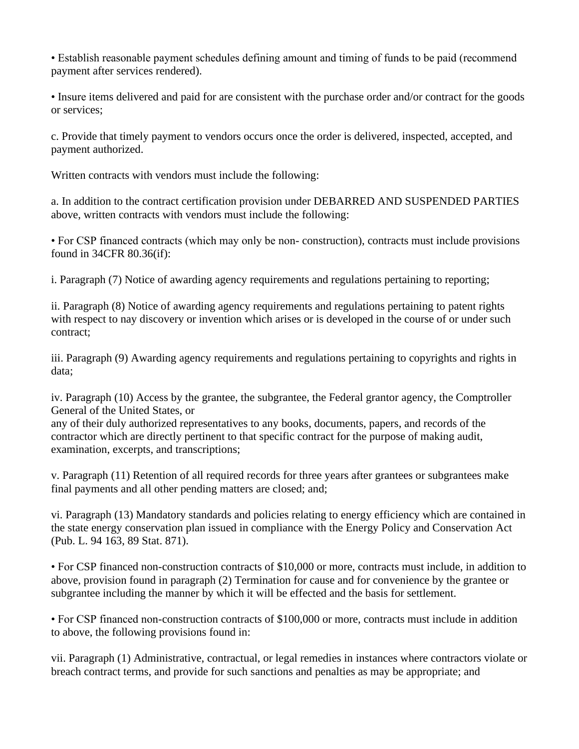• Establish reasonable payment schedules defining amount and timing of funds to be paid (recommend payment after services rendered).

• Insure items delivered and paid for are consistent with the purchase order and/or contract for the goods or services;

c. Provide that timely payment to vendors occurs once the order is delivered, inspected, accepted, and payment authorized.

Written contracts with vendors must include the following:

a. In addition to the contract certification provision under DEBARRED AND SUSPENDED PARTIES above, written contracts with vendors must include the following:

• For CSP financed contracts (which may only be non- construction), contracts must include provisions found in 34CFR 80.36(if):

i. Paragraph (7) Notice of awarding agency requirements and regulations pertaining to reporting;

ii. Paragraph (8) Notice of awarding agency requirements and regulations pertaining to patent rights with respect to nay discovery or invention which arises or is developed in the course of or under such contract;

iii. Paragraph (9) Awarding agency requirements and regulations pertaining to copyrights and rights in data;

iv. Paragraph (10) Access by the grantee, the subgrantee, the Federal grantor agency, the Comptroller General of the United States, or

any of their duly authorized representatives to any books, documents, papers, and records of the contractor which are directly pertinent to that specific contract for the purpose of making audit, examination, excerpts, and transcriptions;

v. Paragraph (11) Retention of all required records for three years after grantees or subgrantees make final payments and all other pending matters are closed; and;

vi. Paragraph (13) Mandatory standards and policies relating to energy efficiency which are contained in the state energy conservation plan issued in compliance with the Energy Policy and Conservation Act (Pub. L. 94 163, 89 Stat. 871).

• For CSP financed non-construction contracts of \$10,000 or more, contracts must include, in addition to above, provision found in paragraph (2) Termination for cause and for convenience by the grantee or subgrantee including the manner by which it will be effected and the basis for settlement.

• For CSP financed non-construction contracts of \$100,000 or more, contracts must include in addition to above, the following provisions found in:

vii. Paragraph (1) Administrative, contractual, or legal remedies in instances where contractors violate or breach contract terms, and provide for such sanctions and penalties as may be appropriate; and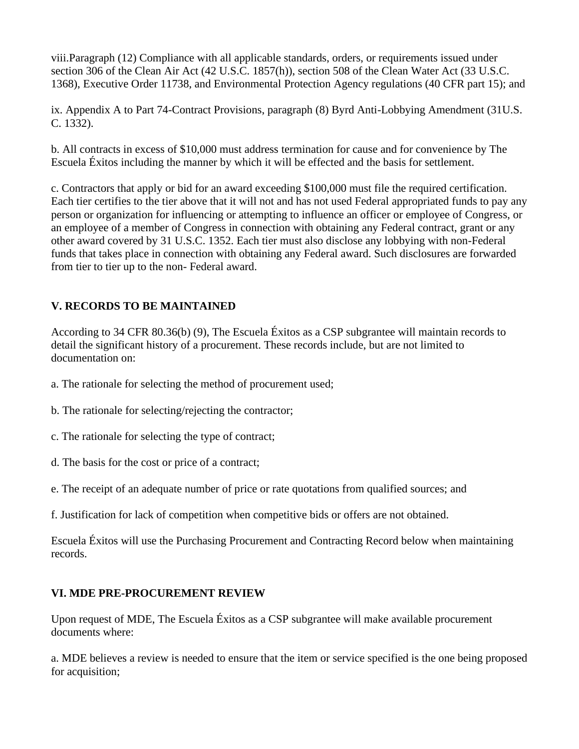viii.Paragraph (12) Compliance with all applicable standards, orders, or requirements issued under section 306 of the Clean Air Act (42 U.S.C. 1857(h)), section 508 of the Clean Water Act (33 U.S.C. 1368), Executive Order 11738, and Environmental Protection Agency regulations (40 CFR part 15); and

ix. Appendix A to Part 74-Contract Provisions, paragraph (8) Byrd Anti-Lobbying Amendment (31U.S. C. 1332).

b. All contracts in excess of \$10,000 must address termination for cause and for convenience by The Escuela Éxitos including the manner by which it will be effected and the basis for settlement.

c. Contractors that apply or bid for an award exceeding \$100,000 must file the required certification. Each tier certifies to the tier above that it will not and has not used Federal appropriated funds to pay any person or organization for influencing or attempting to influence an officer or employee of Congress, or an employee of a member of Congress in connection with obtaining any Federal contract, grant or any other award covered by 31 U.S.C. 1352. Each tier must also disclose any lobbying with non-Federal funds that takes place in connection with obtaining any Federal award. Such disclosures are forwarded from tier to tier up to the non- Federal award.

# **V. RECORDS TO BE MAINTAINED**

According to 34 CFR 80.36(b) (9), The Escuela Éxitos as a CSP subgrantee will maintain records to detail the significant history of a procurement. These records include, but are not limited to documentation on:

- a. The rationale for selecting the method of procurement used;
- b. The rationale for selecting/rejecting the contractor;
- c. The rationale for selecting the type of contract;
- d. The basis for the cost or price of a contract;

e. The receipt of an adequate number of price or rate quotations from qualified sources; and

f. Justification for lack of competition when competitive bids or offers are not obtained.

Escuela Éxitos will use the Purchasing Procurement and Contracting Record below when maintaining records.

#### **VI. MDE PRE-PROCUREMENT REVIEW**

Upon request of MDE, The Escuela Éxitos as a CSP subgrantee will make available procurement documents where:

a. MDE believes a review is needed to ensure that the item or service specified is the one being proposed for acquisition;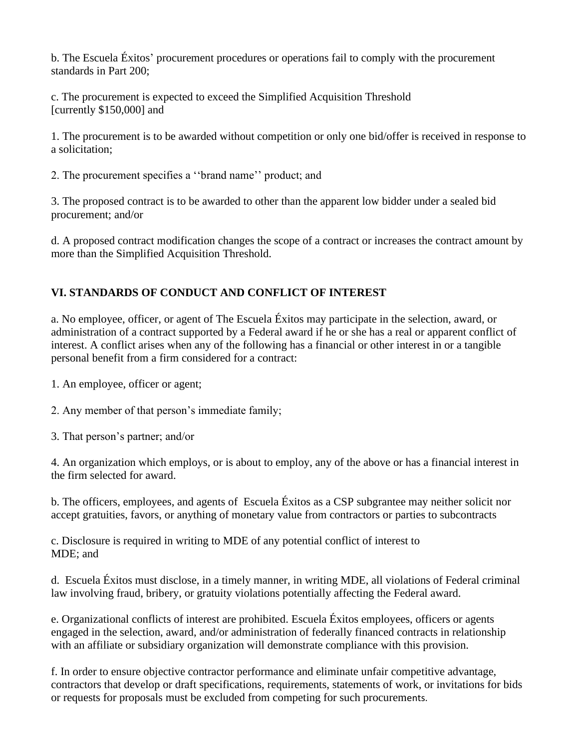b. The Escuela Éxitos' procurement procedures or operations fail to comply with the procurement standards in Part 200;

c. The procurement is expected to exceed the Simplified Acquisition Threshold [currently \$150,000] and

1. The procurement is to be awarded without competition or only one bid/offer is received in response to a solicitation;

2. The procurement specifies a ''brand name'' product; and

3. The proposed contract is to be awarded to other than the apparent low bidder under a sealed bid procurement; and/or

d. A proposed contract modification changes the scope of a contract or increases the contract amount by more than the Simplified Acquisition Threshold.

# **VI. STANDARDS OF CONDUCT AND CONFLICT OF INTEREST**

a. No employee, officer, or agent of The Escuela Éxitos may participate in the selection, award, or administration of a contract supported by a Federal award if he or she has a real or apparent conflict of interest. A conflict arises when any of the following has a financial or other interest in or a tangible personal benefit from a firm considered for a contract:

1. An employee, officer or agent;

2. Any member of that person's immediate family;

3. That person's partner; and/or

4. An organization which employs, or is about to employ, any of the above or has a financial interest in the firm selected for award.

b. The officers, employees, and agents of Escuela Éxitos as a CSP subgrantee may neither solicit nor accept gratuities, favors, or anything of monetary value from contractors or parties to subcontracts

c. Disclosure is required in writing to MDE of any potential conflict of interest to MDE; and

d. Escuela Éxitos must disclose, in a timely manner, in writing MDE, all violations of Federal criminal law involving fraud, bribery, or gratuity violations potentially affecting the Federal award.

e. Organizational conflicts of interest are prohibited. Escuela Éxitos employees, officers or agents engaged in the selection, award, and/or administration of federally financed contracts in relationship with an affiliate or subsidiary organization will demonstrate compliance with this provision.

f. In order to ensure objective contractor performance and eliminate unfair competitive advantage, contractors that develop or draft specifications, requirements, statements of work, or invitations for bids or requests for proposals must be excluded from competing for such procurements.